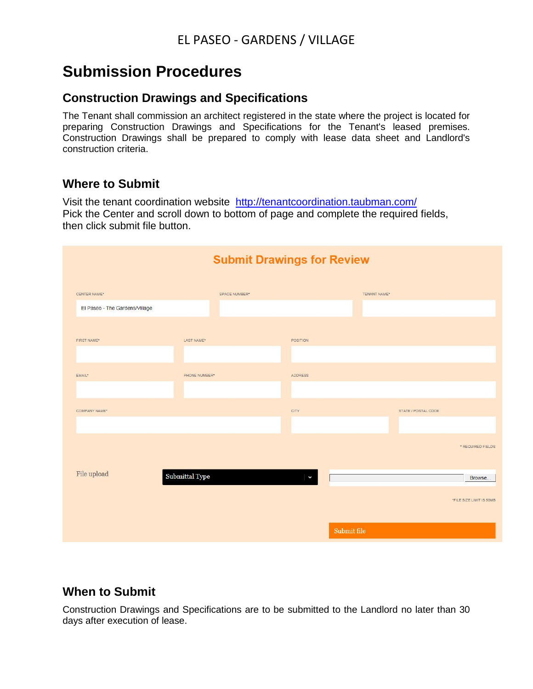# **Submission Procedures**

#### **Construction Drawings and Specifications**

The Tenant shall commission an architect registered in the state where the project is located for preparing Construction Drawings and Specifications for the Tenant's leased premises. Construction Drawings shall be prepared to comply with lease data sheet and Landlord's construction criteria.

#### **Where to Submit**

Visit the tenant coordination website <http://tenantcoordination.taubman.com/> Pick the Center and scroll down to bottom of page and complete the required fields, then click submit file button.

| <b>Submit Drawings for Review</b> |                         |               |                 |             |              |                     |                          |  |
|-----------------------------------|-------------------------|---------------|-----------------|-------------|--------------|---------------------|--------------------------|--|
| CENTER NAME*                      |                         | SPACE NUMBER* |                 |             | TENANT NAME* |                     |                          |  |
| El Paseo - The Gardens/Village    |                         |               |                 |             |              |                     |                          |  |
| FIRST NAME*                       | LAST NAME*              |               | <b>POSITION</b> |             |              |                     |                          |  |
| EMAIL*                            | PHONE NUMBER*           |               | <b>ADDRESS</b>  |             |              |                     |                          |  |
| COMPANY NAME*                     |                         |               | CITY            |             |              | STATE / POSTAL CODE |                          |  |
|                                   |                         |               |                 |             |              |                     | * REQUIRED FIELDS        |  |
| File upload                       | ${\bf Submittal\ Type}$ |               | ٨               |             |              |                     | Browse                   |  |
|                                   |                         |               |                 |             |              |                     | *FILE SIZE LIMIT IS 50MB |  |
|                                   |                         |               |                 | Submit file |              |                     |                          |  |

#### **When to Submit**

Construction Drawings and Specifications are to be submitted to the Landlord no later than 30 days after execution of lease.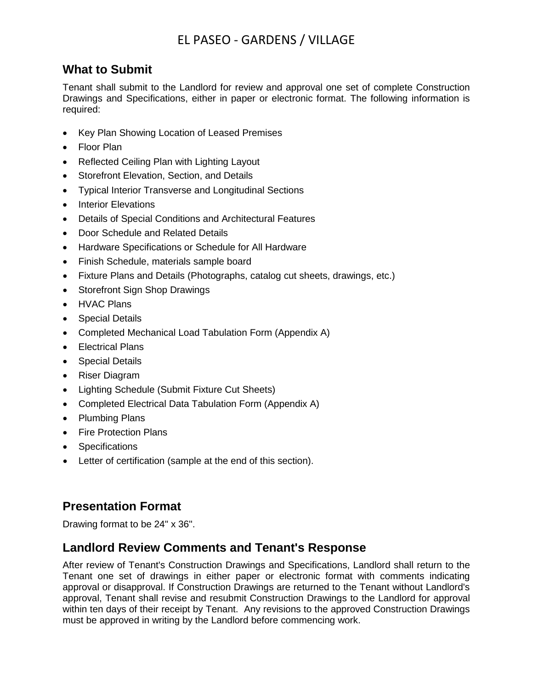## EL PASEO - GARDENS / VILLAGE

#### **What to Submit**

Tenant shall submit to the Landlord for review and approval one set of complete Construction Drawings and Specifications, either in paper or electronic format. The following information is required:

- Key Plan Showing Location of Leased Premises
- Floor Plan
- Reflected Ceiling Plan with Lighting Layout
- Storefront Elevation, Section, and Details
- Typical Interior Transverse and Longitudinal Sections
- **Interior Elevations**
- Details of Special Conditions and Architectural Features
- Door Schedule and Related Details
- Hardware Specifications or Schedule for All Hardware
- Finish Schedule, materials sample board
- Fixture Plans and Details (Photographs, catalog cut sheets, drawings, etc.)
- Storefront Sign Shop Drawings
- HVAC Plans
- Special Details
- Completed Mechanical Load Tabulation Form (Appendix A)
- Electrical Plans
- Special Details
- Riser Diagram
- Lighting Schedule (Submit Fixture Cut Sheets)
- Completed Electrical Data Tabulation Form (Appendix A)
- Plumbing Plans
- Fire Protection Plans
- Specifications
- Letter of certification (sample at the end of this section).

#### **Presentation Format**

Drawing format to be 24" x 36".

#### **Landlord Review Comments and Tenant's Response**

After review of Tenant's Construction Drawings and Specifications, Landlord shall return to the Tenant one set of drawings in either paper or electronic format with comments indicating approval or disapproval. If Construction Drawings are returned to the Tenant without Landlord's approval, Tenant shall revise and resubmit Construction Drawings to the Landlord for approval within ten days of their receipt by Tenant. Any revisions to the approved Construction Drawings must be approved in writing by the Landlord before commencing work.